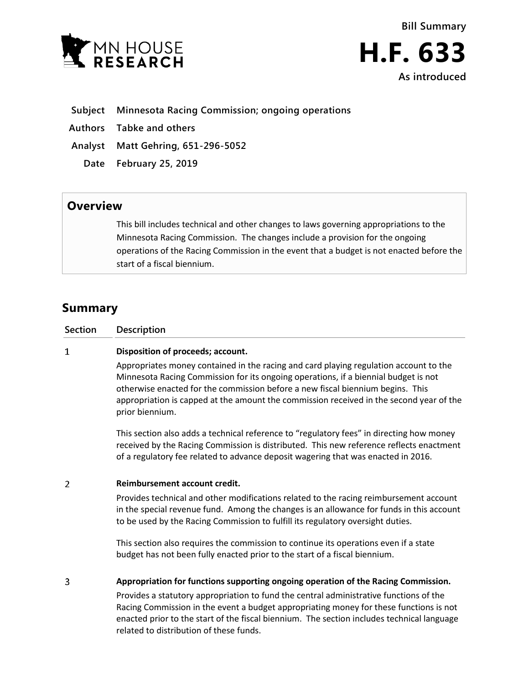



### **Subject Minnesota Racing Commission; ongoing operations**

- **Authors Tabke and others**
- **Analyst Matt Gehring, 651-296-5052**
	- **Date February 25, 2019**

## **Overview**

This bill includes technical and other changes to laws governing appropriations to the Minnesota Racing Commission. The changes include a provision for the ongoing operations of the Racing Commission in the event that a budget is not enacted before the start of a fiscal biennium.

# **Summary**

| Section | <b>Description</b> |
|---------|--------------------|
|         |                    |

#### $\mathbf{1}$ **Disposition of proceeds; account.**

Appropriates money contained in the racing and card playing regulation account to the Minnesota Racing Commission for its ongoing operations, if a biennial budget is not otherwise enacted for the commission before a new fiscal biennium begins. This appropriation is capped at the amount the commission received in the second year of the prior biennium.

This section also adds a technical reference to "regulatory fees" in directing how money received by the Racing Commission is distributed. This new reference reflects enactment of a regulatory fee related to advance deposit wagering that was enacted in 2016.

#### $\overline{2}$ **Reimbursement account credit.**

Provides technical and other modifications related to the racing reimbursement account in the special revenue fund. Among the changes is an allowance for funds in this account to be used by the Racing Commission to fulfill its regulatory oversight duties.

This section also requires the commission to continue its operations even if a state budget has not been fully enacted prior to the start of a fiscal biennium.

3 **Appropriation for functions supporting ongoing operation of the Racing Commission.**

> Provides a statutory appropriation to fund the central administrative functions of the Racing Commission in the event a budget appropriating money for these functions is not enacted prior to the start of the fiscal biennium. The section includes technical language related to distribution of these funds.